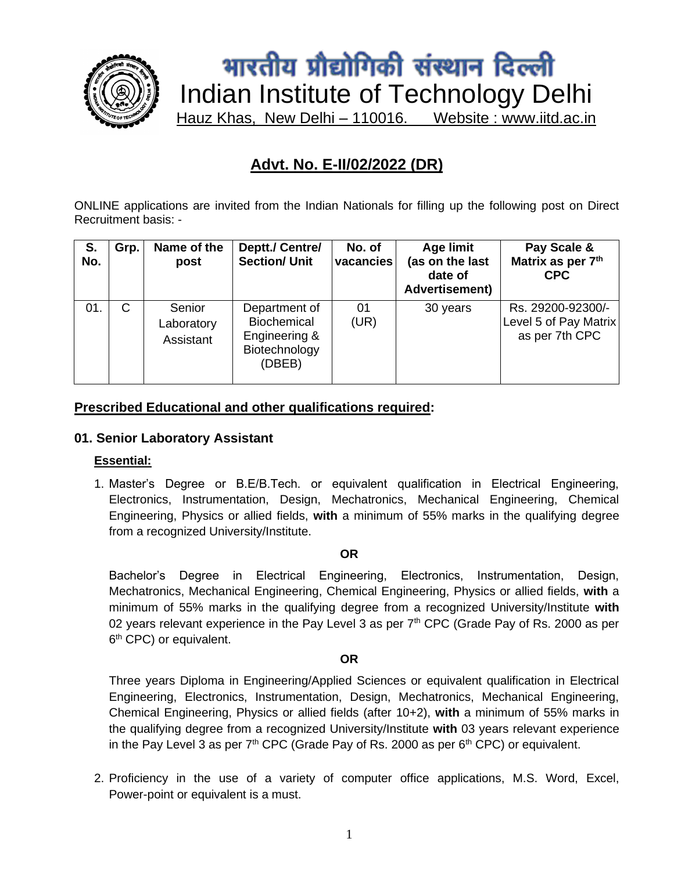

# भारतीय प्रौद्योगिकी संस्थान दिल्ली Indian Institute of Technology Delhi Hauz Khas, New Delhi – 110016. Website : www.iitd.ac.in

## **Advt. No. E-II/02/2022 (DR)**

ONLINE applications are invited from the Indian Nationals for filling up the following post on Direct Recruitment basis: -

| S.<br>No. | Grp. | Name of the<br>post               | Deptt./ Centre/<br><b>Section/ Unit</b>                                         | No. of<br>vacancies | Age limit<br>(as on the last<br>date of<br><b>Advertisement)</b> | Pay Scale &<br>Matrix as per 7th<br><b>CPC</b>               |
|-----------|------|-----------------------------------|---------------------------------------------------------------------------------|---------------------|------------------------------------------------------------------|--------------------------------------------------------------|
| 01.       | C    | Senior<br>Laboratory<br>Assistant | Department of<br><b>Biochemical</b><br>Engineering &<br>Biotechnology<br>(DBEB) | 01<br>(UR)          | 30 years                                                         | Rs. 29200-92300/-<br>Level 5 of Pay Matrix<br>as per 7th CPC |

#### **Prescribed Educational and other qualifications required:**

#### **01. Senior Laboratory Assistant**

#### **Essential:**

1. Master's Degree or B.E/B.Tech. or equivalent qualification in Electrical Engineering, Electronics, Instrumentation, Design, Mechatronics, Mechanical Engineering, Chemical Engineering, Physics or allied fields, **with** a minimum of 55% marks in the qualifying degree from a recognized University/Institute.

#### **OR**

Bachelor's Degree in Electrical Engineering, Electronics, Instrumentation, Design, Mechatronics, Mechanical Engineering, Chemical Engineering, Physics or allied fields, **with** a minimum of 55% marks in the qualifying degree from a recognized University/Institute **with**  02 years relevant experience in the Pay Level 3 as per  $7<sup>th</sup>$  CPC (Grade Pay of Rs. 2000 as per 6<sup>th</sup> CPC) or equivalent.

#### **OR**

Three years Diploma in Engineering/Applied Sciences or equivalent qualification in Electrical Engineering, Electronics, Instrumentation, Design, Mechatronics, Mechanical Engineering, Chemical Engineering, Physics or allied fields (after 10+2), **with** a minimum of 55% marks in the qualifying degree from a recognized University/Institute **with** 03 years relevant experience in the Pay Level 3 as per  $7<sup>th</sup>$  CPC (Grade Pay of Rs. 2000 as per  $6<sup>th</sup>$  CPC) or equivalent.

2. Proficiency in the use of a variety of computer office applications, M.S. Word, Excel, Power-point or equivalent is a must.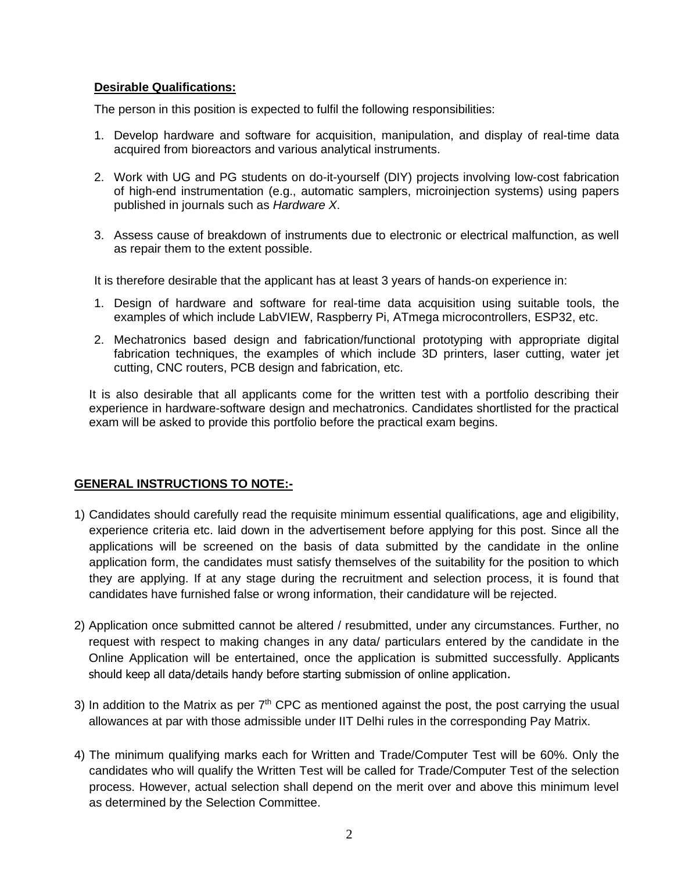#### **Desirable Qualifications:**

The person in this position is expected to fulfil the following responsibilities:

- 1. Develop hardware and software for acquisition, manipulation, and display of real-time data acquired from bioreactors and various analytical instruments.
- 2. Work with UG and PG students on do-it-yourself (DIY) projects involving low-cost fabrication of high-end instrumentation (e.g., automatic samplers, microinjection systems) using papers published in journals such as *Hardware X*.
- 3. Assess cause of breakdown of instruments due to electronic or electrical malfunction, as well as repair them to the extent possible.

It is therefore desirable that the applicant has at least 3 years of hands-on experience in:

- 1. Design of hardware and software for real-time data acquisition using suitable tools, the examples of which include LabVIEW, Raspberry Pi, ATmega microcontrollers, ESP32, etc.
- 2. Mechatronics based design and fabrication/functional prototyping with appropriate digital fabrication techniques, the examples of which include 3D printers, laser cutting, water jet cutting, CNC routers, PCB design and fabrication, etc.

It is also desirable that all applicants come for the written test with a portfolio describing their experience in hardware-software design and mechatronics. Candidates shortlisted for the practical exam will be asked to provide this portfolio before the practical exam begins.

#### **GENERAL INSTRUCTIONS TO NOTE:-**

- 1) Candidates should carefully read the requisite minimum essential qualifications, age and eligibility, experience criteria etc. laid down in the advertisement before applying for this post. Since all the applications will be screened on the basis of data submitted by the candidate in the online application form, the candidates must satisfy themselves of the suitability for the position to which they are applying. If at any stage during the recruitment and selection process, it is found that candidates have furnished false or wrong information, their candidature will be rejected.
- 2) Application once submitted cannot be altered / resubmitted, under any circumstances. Further, no request with respect to making changes in any data/ particulars entered by the candidate in the Online Application will be entertained, once the application is submitted successfully. Applicants should keep all data/details handy before starting submission of online application.
- 3) In addition to the Matrix as per  $7<sup>th</sup>$  CPC as mentioned against the post, the post carrying the usual allowances at par with those admissible under IIT Delhi rules in the corresponding Pay Matrix.
- 4) The minimum qualifying marks each for Written and Trade/Computer Test will be 60%. Only the candidates who will qualify the Written Test will be called for Trade/Computer Test of the selection process. However, actual selection shall depend on the merit over and above this minimum level as determined by the Selection Committee.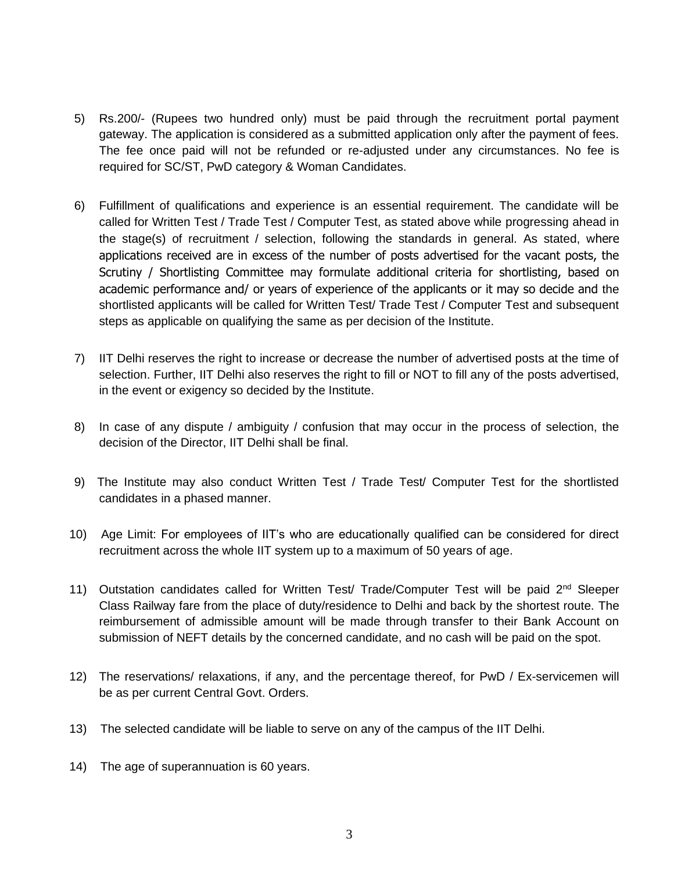- 5) Rs.200/- (Rupees two hundred only) must be paid through the recruitment portal payment gateway. The application is considered as a submitted application only after the payment of fees. The fee once paid will not be refunded or re-adjusted under any circumstances. No fee is required for SC/ST, PwD category & Woman Candidates.
- 6) Fulfillment of qualifications and experience is an essential requirement. The candidate will be called for Written Test / Trade Test / Computer Test, as stated above while progressing ahead in the stage(s) of recruitment / selection, following the standards in general. As stated, where applications received are in excess of the number of posts advertised for the vacant posts, the Scrutiny / Shortlisting Committee may formulate additional criteria for shortlisting, based on academic performance and/ or years of experience of the applicants or it may so decide and the shortlisted applicants will be called for Written Test/ Trade Test / Computer Test and subsequent steps as applicable on qualifying the same as per decision of the Institute.
- 7) IIT Delhi reserves the right to increase or decrease the number of advertised posts at the time of selection. Further, IIT Delhi also reserves the right to fill or NOT to fill any of the posts advertised, in the event or exigency so decided by the Institute.
- 8) In case of any dispute / ambiguity / confusion that may occur in the process of selection, the decision of the Director, IIT Delhi shall be final.
- 9) The Institute may also conduct Written Test / Trade Test/ Computer Test for the shortlisted candidates in a phased manner.
- 10) Age Limit: For employees of IIT's who are educationally qualified can be considered for direct recruitment across the whole IIT system up to a maximum of 50 years of age.
- 11) Outstation candidates called for Written Test/ Trade/Computer Test will be paid  $2<sup>nd</sup>$  Sleeper Class Railway fare from the place of duty/residence to Delhi and back by the shortest route. The reimbursement of admissible amount will be made through transfer to their Bank Account on submission of NEFT details by the concerned candidate, and no cash will be paid on the spot.
- 12) The reservations/ relaxations, if any, and the percentage thereof, for PwD / Ex-servicemen will be as per current Central Govt. Orders.
- 13) The selected candidate will be liable to serve on any of the campus of the IIT Delhi.
- 14) The age of superannuation is 60 years.